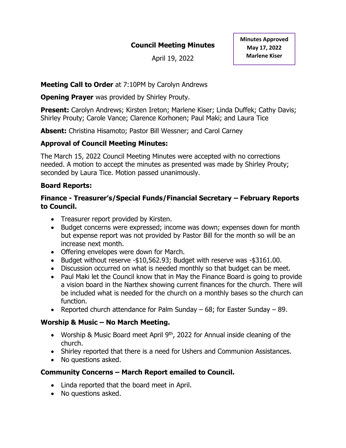# **Council Meeting Minutes**

April 19, 2022

## **Meeting Call to Order** at 7:10PM by Carolyn Andrews

**Opening Prayer** was provided by Shirley Prouty.

**Present:** Carolyn Andrews: Kirsten Ireton: Marlene Kiser: Linda Duffek: Cathy Davis: Shirley Prouty; Carole Vance; Clarence Korhonen; Paul Maki; and Laura Tice

**Absent:** Christina Hisamoto; Pastor Bill Wessner; and Carol Carney

# **Approval of Council Meeting Minutes:**

The March 15, 2022 Council Meeting Minutes were accepted with no corrections needed. A motion to accept the minutes as presented was made by Shirley Prouty; seconded by Laura Tice. Motion passed unanimously.

# **Board Reports:**

## **Finance - Treasurer's/Special Funds/Financial Secretary – February Reports to Council.**

- Treasurer report provided by Kirsten.
- Budget concerns were expressed; income was down; expenses down for month but expense report was not provided by Pastor Bill for the month so will be an increase next month.
- Offering envelopes were down for March.
- Budget without reserve -\$10,562.93; Budget with reserve was -\$3161.00.
- Discussion occurred on what is needed monthly so that budget can be meet.
- Paul Maki let the Council know that in May the Finance Board is going to provide a vision board in the Narthex showing current finances for the church. There will be included what is needed for the church on a monthly bases so the church can function.
- Reported church attendance for Palm Sunday  $-68$ ; for Easter Sunday  $-89$ .

# **Worship & Music – No March Meeting.**

- Worship & Music Board meet April 9<sup>th</sup>, 2022 for Annual inside cleaning of the church.
- Shirley reported that there is a need for Ushers and Communion Assistances.
- No questions asked.

# **Community Concerns – March Report emailed to Council.**

- Linda reported that the board meet in April.
- No questions asked.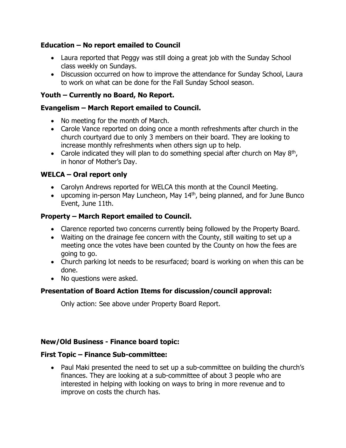## **Education – No report emailed to Council**

- Laura reported that Peggy was still doing a great job with the Sunday School class weekly on Sundays.
- Discussion occurred on how to improve the attendance for Sunday School, Laura to work on what can be done for the Fall Sunday School season.

## **Youth – Currently no Board, No Report.**

#### **Evangelism – March Report emailed to Council.**

- No meeting for the month of March.
- Carole Vance reported on doing once a month refreshments after church in the church courtyard due to only 3 members on their board. They are looking to increase monthly refreshments when others sign up to help.
- Carole indicated they will plan to do something special after church on May  $8<sup>th</sup>$ , in honor of Mother's Day.

## **WELCA – Oral report only**

- Carolyn Andrews reported for WELCA this month at the Council Meeting.
- upcoming in-person May Luncheon, May 14<sup>th</sup>, being planned, and for June Bunco Event, June 11th.

## **Property – March Report emailed to Council.**

- Clarence reported two concerns currently being followed by the Property Board.
- Waiting on the drainage fee concern with the County, still waiting to set up a meeting once the votes have been counted by the County on how the fees are going to go.
- Church parking lot needs to be resurfaced; board is working on when this can be done.
- No questions were asked.

# **Presentation of Board Action Items for discussion/council approval:**

Only action: See above under Property Board Report.

#### **New/Old Business - Finance board topic:**

#### **First Topic – Finance Sub-committee:**

• Paul Maki presented the need to set up a sub-committee on building the church's finances. They are looking at a sub-committee of about 3 people who are interested in helping with looking on ways to bring in more revenue and to improve on costs the church has.